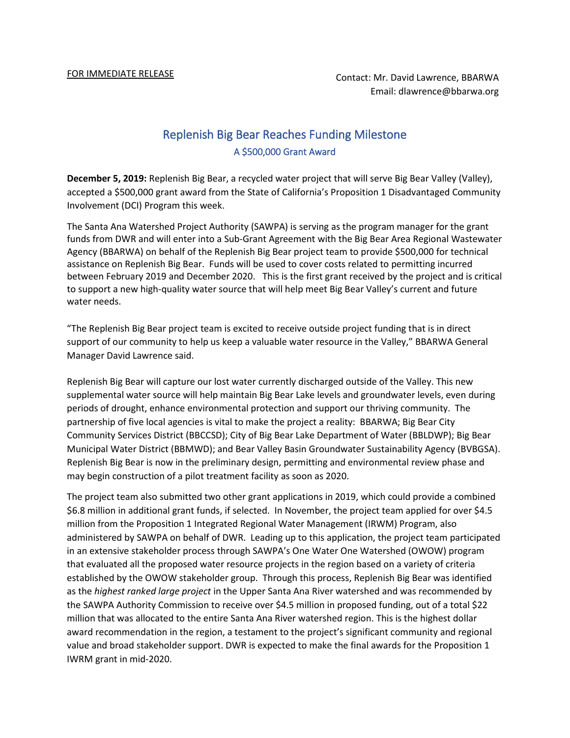## Replenish Big Bear Reaches Funding Milestone A \$500,000 Grant Award

**December 5, 2019:** Replenish Big Bear, a recycled water project that will serve Big Bear Valley (Valley), accepted a \$500,000 grant award from the State of California's Proposition 1 Disadvantaged Community Involvement (DCI) Program this week.

The Santa Ana Watershed Project Authority (SAWPA) is serving as the program manager for the grant funds from DWR and will enter into a Sub-Grant Agreement with the Big Bear Area Regional Wastewater Agency (BBARWA) on behalf of the Replenish Big Bear project team to provide \$500,000 for technical assistance on Replenish Big Bear. Funds will be used to cover costs related to permitting incurred between February 2019 and December 2020. This is the first grant received by the project and is critical to support a new high-quality water source that will help meet Big Bear Valley's current and future water needs.

"The Replenish Big Bear project team is excited to receive outside project funding that is in direct support of our community to help us keep a valuable water resource in the Valley," BBARWA General Manager David Lawrence said.

Replenish Big Bear will capture our lost water currently discharged outside of the Valley. This new supplemental water source will help maintain Big Bear Lake levels and groundwater levels, even during periods of drought, enhance environmental protection and support our thriving community. The partnership of five local agencies is vital to make the project a reality: BBARWA; Big Bear City Community Services District (BBCCSD); City of Big Bear Lake Department of Water (BBLDWP); Big Bear Municipal Water District (BBMWD); and Bear Valley Basin Groundwater Sustainability Agency (BVBGSA). Replenish Big Bear is now in the preliminary design, permitting and environmental review phase and may begin construction of a pilot treatment facility as soon as 2020.

The project team also submitted two other grant applications in 2019, which could provide a combined \$6.8 million in additional grant funds, if selected. In November, the project team applied for over \$4.5 million from the Proposition 1 Integrated Regional Water Management (IRWM) Program, also administered by SAWPA on behalf of DWR. Leading up to this application, the project team participated in an extensive stakeholder process through SAWPA's One Water One Watershed (OWOW) program that evaluated all the proposed water resource projects in the region based on a variety of criteria established by the OWOW stakeholder group. Through this process, Replenish Big Bear was identified as the *highest ranked large project* in the Upper Santa Ana River watershed and was recommended by the SAWPA Authority Commission to receive over \$4.5 million in proposed funding, out of a total \$22 million that was allocated to the entire Santa Ana River watershed region. This is the highest dollar award recommendation in the region, a testament to the project's significant community and regional value and broad stakeholder support. DWR is expected to make the final awards for the Proposition 1 IWRM grant in mid-2020.